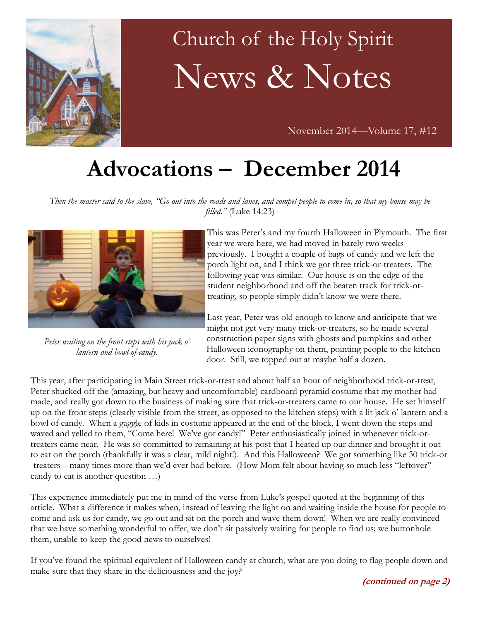

# Church of the Holy Spirit News & Notes

November 2014—Volume 17, #12

## **Advocations – December 2014**

*Then the master said to the slave, "Go out into the roads and lanes, and compel people to come in, so that my house may be filled."* (Luke 14:23)



*Peter waiting on the front steps with his jack o' lantern and bowl of candy.*

This was Peter's and my fourth Halloween in Plymouth. The first year we were here, we had moved in barely two weeks previously. I bought a couple of bags of candy and we left the porch light on, and I think we got three trick-or-treaters. The following year was similar. Our house is on the edge of the student neighborhood and off the beaten track for trick-ortreating, so people simply didn't know we were there.

Last year, Peter was old enough to know and anticipate that we might not get very many trick-or-treaters, so he made several construction paper signs with ghosts and pumpkins and other Halloween iconography on them, pointing people to the kitchen door. Still, we topped out at maybe half a dozen.

This year, after participating in Main Street trick-or-treat and about half an hour of neighborhood trick-or-treat, Peter shucked off the (amazing, but heavy and uncomfortable) cardboard pyramid costume that my mother had made, and really got down to the business of making sure that trick-or-treaters came to our house. He set himself up on the front steps (clearly visible from the street, as opposed to the kitchen steps) with a lit jack o' lantern and a bowl of candy. When a gaggle of kids in costume appeared at the end of the block, I went down the steps and waved and yelled to them, "Come here! We've got candy!" Peter enthusiastically joined in whenever trick-ortreaters came near. He was so committed to remaining at his post that I heated up our dinner and brought it out to eat on the porch (thankfully it was a clear, mild night!). And this Halloween? We got something like 30 trick-or -treaters – many times more than we'd ever had before. (How Mom felt about having so much less "leftover" candy to eat is another question …)

This experience immediately put me in mind of the verse from Luke's gospel quoted at the beginning of this article. What a difference it makes when, instead of leaving the light on and waiting inside the house for people to come and ask us for candy, we go out and sit on the porch and wave them down! When we are really convinced that we have something wonderful to offer, we don't sit passively waiting for people to find us; we buttonhole them, unable to keep the good news to ourselves!

If you've found the spiritual equivalent of Halloween candy at church, what are you doing to flag people down and make sure that they share in the deliciousness and the joy?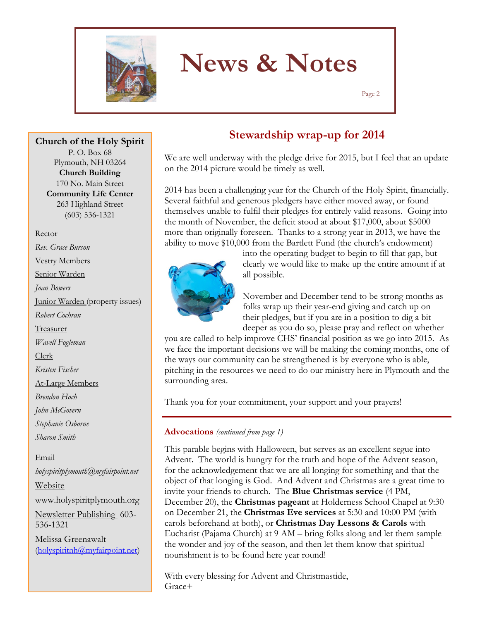

Page 2

**Church of the Holy Spirit**

P. O. Box 68 Plymouth, NH 03264 **Church Building** 170 No. Main Street **Community Life Center** 263 Highland Street (603) 536-1321

#### Rector

*Rev. Grace Burson* Vestry Members Senior Warden *Joan Bowers* Junior Warden (property issues) *Robert Cochran* Treasurer *Wavell Fogleman* Clerk *Kristen Fischer* At-Large Members *Brendon Hoch John McGovern Stephanie Osborne Sharon Smith* Email *holyspiritplymouth@myfairpoint.net* Website www.holyspiritplymouth.org Newsletter Publishing 603-

Melissa Greenawalt (holyspiritnh@myfairpoint.net)

536-1321

### **Stewardship wrap-up for 2014**

We are well underway with the pledge drive for 2015, but I feel that an update on the 2014 picture would be timely as well.

2014 has been a challenging year for the Church of the Holy Spirit, financially. Several faithful and generous pledgers have either moved away, or found themselves unable to fulfil their pledges for entirely valid reasons. Going into the month of November, the deficit stood at about \$17,000, about \$5000 more than originally foreseen. Thanks to a strong year in 2013, we have the ability to move \$10,000 from the Bartlett Fund (the church's endowment)



into the operating budget to begin to fill that gap, but clearly we would like to make up the entire amount if at all possible.

November and December tend to be strong months as folks wrap up their year-end giving and catch up on their pledges, but if you are in a position to dig a bit deeper as you do so, please pray and reflect on whether

you are called to help improve CHS' financial position as we go into 2015. As we face the important decisions we will be making the coming months, one of the ways our community can be strengthened is by everyone who is able, pitching in the resources we need to do our ministry here in Plymouth and the surrounding area.

Thank you for your commitment, your support and your prayers!

#### **Advocations** *(continued from page 1)*

This parable begins with Halloween, but serves as an excellent segue into Advent. The world is hungry for the truth and hope of the Advent season, for the acknowledgement that we are all longing for something and that the object of that longing is God. And Advent and Christmas are a great time to invite your friends to church. The **Blue Christmas service** (4 PM, December 20), the **Christmas pageant** at Holderness School Chapel at 9:30 on December 21, the **Christmas Eve services** at 5:30 and 10:00 PM (with carols beforehand at both), or **Christmas Day Lessons & Carols** with Eucharist (Pajama Church) at 9 AM – bring folks along and let them sample the wonder and joy of the season, and then let them know that spiritual nourishment is to be found here year round!

With every blessing for Advent and Christmastide, Grace+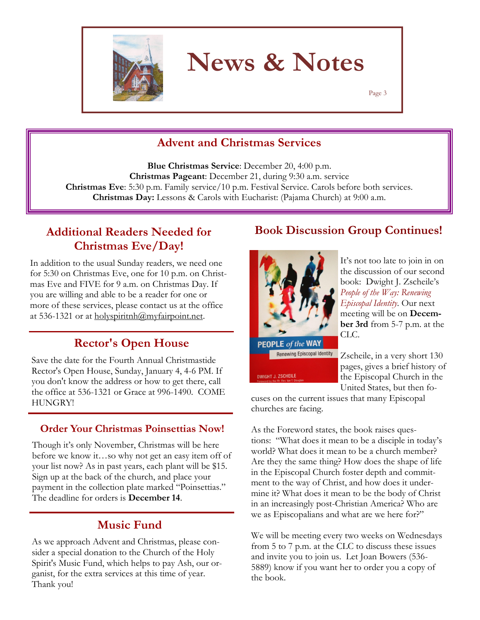

Page 3

### **Advent and Christmas Services**

**Blue Christmas Service**: December 20, 4:00 p.m. **Christmas Pageant**: December 21, during 9:30 a.m. service **Christmas Eve**: 5:30 p.m. Family service/10 p.m. Festival Service. Carols before both services. **Christmas Day:** Lessons & Carols with Eucharist: (Pajama Church) at 9:00 a.m.

### **Additional Readers Needed for Christmas Eve/Day!**

In addition to the usual Sunday readers, we need one for 5:30 on Christmas Eve, one for 10 p.m. on Christmas Eve and FIVE for 9 a.m. on Christmas Day. If you are willing and able to be a reader for one or more of these services, please contact us at the office at 536-1321 or at holyspiritnh $@$ myfairpoint.net.

### **Rector's Open House**

Save the date for the Fourth Annual Christmastide Rector's Open House, Sunday, January 4, 4-6 PM. If you don't know the address or how to get there, call the office at 536-1321 or Grace at 996-1490. COME HUNGRY!

#### **Order Your Christmas Poinsettias Now!**

Though it's only November, Christmas will be here before we know it…so why not get an easy item off of your list now? As in past years, each plant will be \$15. Sign up at the back of the church, and place your payment in the collection plate marked "Poinsettias." The deadline for orders is **December 14**.

### **Music Fund**

As we approach Advent and Christmas, please consider a special donation to the Church of the Holy Spirit's Music Fund, which helps to pay Ash, our organist, for the extra services at this time of year. Thank you!

### **Book Discussion Group Continues!**



**DWIGHT J. ZSCHEILE** 

It's not too late to join in on the discussion of our second book: Dwight J. Zscheile's *People of the Way: Renewing Episcopal Identity*. Our next meeting will be on **December 3rd** from 5-7 p.m. at the CLC.

Zscheile, in a very short 130 pages, gives a brief history of the Episcopal Church in the United States, but then fo-

cuses on the current issues that many Episcopal churches are facing.

As the Foreword states, the book raises questions: "What does it mean to be a disciple in today's world? What does it mean to be a church member? Are they the same thing? How does the shape of life in the Episcopal Church foster depth and commitment to the way of Christ, and how does it undermine it? What does it mean to be the body of Christ in an increasingly post-Christian America? Who are we as Episcopalians and what are we here for?"

We will be meeting every two weeks on Wednesdays from 5 to 7 p.m. at the CLC to discuss these issues and invite you to join us. Let Joan Bowers (536- 5889) know if you want her to order you a copy of the book.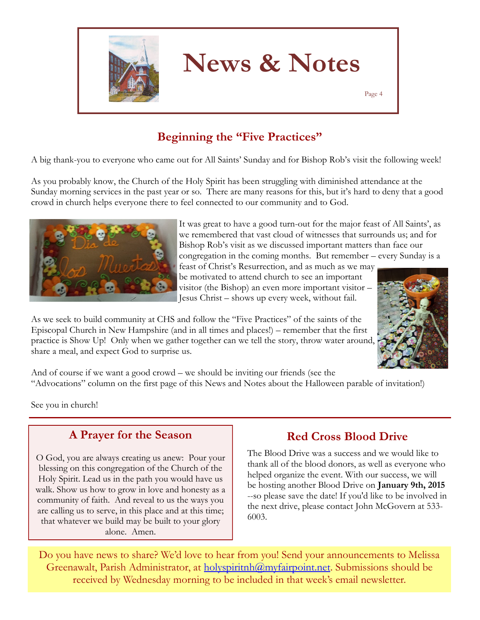

Page 4

### **Beginning the "Five Practices"**

A big thank-you to everyone who came out for All Saints' Sunday and for Bishop Rob's visit the following week!

As you probably know, the Church of the Holy Spirit has been struggling with diminished attendance at the Sunday morning services in the past year or so. There are many reasons for this, but it's hard to deny that a good crowd in church helps everyone there to feel connected to our community and to God.



It was great to have a good turn-out for the major feast of All Saints', as we remembered that vast cloud of witnesses that surrounds us; and for Bishop Rob's visit as we discussed important matters than face our congregation in the coming months. But remember – every Sunday is a

feast of Christ's Resurrection, and as much as we may be motivated to attend church to see an important visitor (the Bishop) an even more important visitor – Jesus Christ – shows up every week, without fail.



As we seek to build community at CHS and follow the "Five Practices" of the saints of the Episcopal Church in New Hampshire (and in all times and places!) – remember that the first practice is Show Up! Only when we gather together can we tell the story, throw water around, share a meal, and expect God to surprise us.

And of course if we want a good crowd – we should be inviting our friends (see the "Advocations" column on the first page of this News and Notes about the Halloween parable of invitation!)

See you in church!

### **A Prayer for the Season**

O God, you are always creating us anew: Pour your blessing on this congregation of the Church of the Holy Spirit. Lead us in the path you would have us walk. Show us how to grow in love and honesty as a community of faith. And reveal to us the ways you are calling us to serve, in this place and at this time; that whatever we build may be built to your glory alone. Amen.

### **Red Cross Blood Drive**

The Blood Drive was a success and we would like to thank all of the blood donors, as well as everyone who helped organize the event. With our success, we will be hosting another Blood Drive on **January 9th, 2015** --so please save the date! If you'd like to be involved in the next drive, please contact John McGovern at 533- 6003.

Do you have news to share? We'd love to hear from you! Send your announcements to Melissa Greenawalt, Parish Administrator, at holyspiritnh@myfairpoint.net. Submissions should be received by Wednesday morning to be included in that week's email newsletter.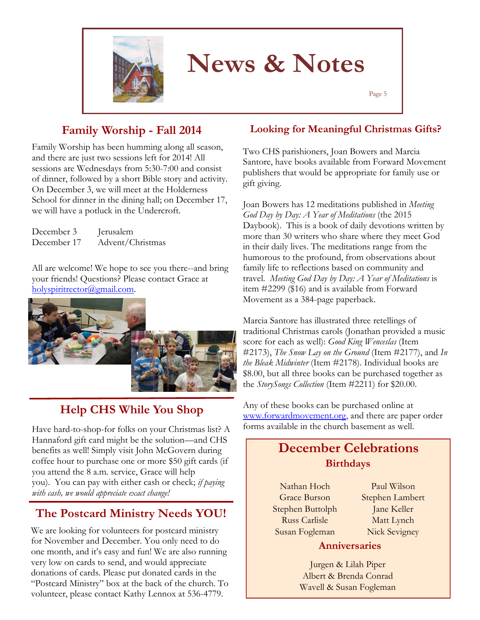

Page 5

### **Family Worship - Fall 2014**

Family Worship has been humming along all season, and there are just two sessions left for 2014! All sessions are Wednesdays from 5:30-7:00 and consist of dinner, followed by a short Bible story and activity. On December 3, we will meet at the Holderness School for dinner in the dining hall; on December 17, we will have a potluck in the Undercroft.

December 3 Jerusalem December 17 Advent/Christmas

All are welcome! We hope to see you there--and bring your friends! Questions? Please contact Grace at holyspiritrector@gmail.com.



### **Help CHS While You Shop**

Have hard-to-shop-for folks on your Christmas list? A Hannaford gift card might be the solution—and CHS benefits as well! Simply visit John McGovern during coffee hour to purchase one or more \$50 gift cards (if you attend the 8 a.m. service, Grace will help you). You can pay with either cash or check; *if paying with cash, we would appreciate exact change!*

### **The Postcard Ministry Needs YOU!**

We are looking for volunteers for postcard ministry for November and December. You only need to do one month, and it's easy and fun! We are also running very low on cards to send, and would appreciate donations of cards. Please put donated cards in the "Postcard Ministry" box at the back of the church. To volunteer, please contact Kathy Lennox at 536-4779.

#### **Looking for Meaningful Christmas Gifts?**

Two CHS parishioners, Joan Bowers and Marcia Santore, have books available from Forward Movement publishers that would be appropriate for family use or gift giving.

Joan Bowers has 12 meditations published in *Meeting God Day by Day: A Year of Meditations* (the 2015 Daybook). This is a book of daily devotions written by more than 30 writers who share where they meet God in their daily lives. The meditations range from the humorous to the profound, from observations about family life to reflections based on community and travel. *Meeting God Day by Day: A Year of Meditations* is item #2299 (\$16) and is available from Forward Movement as a 384-page paperback.

Marcia Santore has illustrated three retellings of traditional Christmas carols (Jonathan provided a music score for each as well): *Good King Wenceslas* (Item #2173), *The Snow Lay on the Ground* (Item #2177), and *In the Bleak Midwinter* (Item #2178). Individual books are \$8.00, but all three books can be purchased together as the *StorySongs Collection* (Item #2211) for \$20.00.

Any of these books can be purchased online at [www.forwardmovement.org,](http://www.forwardmovement.org) and there are paper order forms available in the church basement as well.

### **December Celebrations Birthdays**

Nathan Hoch Grace Burson Stephen Buttolph Russ Carlisle Susan Fogleman

Paul Wilson Stephen Lambert Jane Keller Matt Lynch Nick Sevigney

#### **Anniversaries**

Jurgen & Lilah Piper Albert & Brenda Conrad Wavell & Susan Fogleman